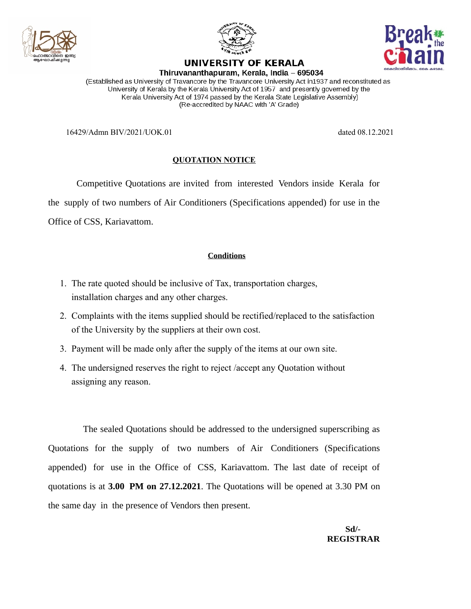





UNIVERSITY OF KERALA Thiruvananthapuram, Kerala, India - 695034

(Established as University of Travancore by the Travancore University Act in1937 and reconstituted as University of Kerala by the Kerala University Act of 1957 and presently governed by the Kerala University Act of 1974 passed by the Kerala State Legislative Assembly) (Re-accredited by NAAC with 'A' Grade)

16429/Admn BIV/2021/UOK.01 dated 08.12.2021

## **QUOTATION NOTICE**

Competitive Quotations are invited from interested Vendors inside Kerala for the supply of two numbers of Air Conditioners (Specifications appended) for use in the Office of CSS, Kariavattom.

## **Conditions**

- 1. The rate quoted should be inclusive of Tax, transportation charges, installation charges and any other charges.
- 2. Complaints with the items supplied should be rectified/replaced to the satisfaction of the University by the suppliers at their own cost.
- 3. Payment will be made only after the supply of the items at our own site.
- 4. The undersigned reserves the right to reject /accept any Quotation without assigning any reason.

The sealed Quotations should be addressed to the undersigned superscribing as Quotations for the supply of two numbers of Air Conditioners (Specifications appended) for use in the Office of CSS, Kariavattom. The last date of receipt of quotations is at **3.00 PM on 27.12.2021**. The Quotations will be opened at 3.30 PM on the same day in the presence of Vendors then present.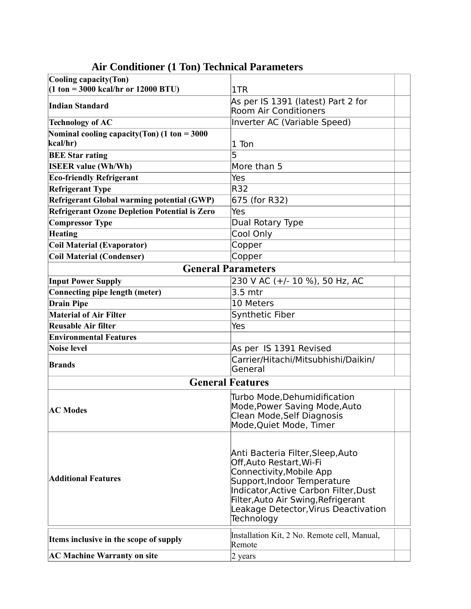| Cooling capacity(Ton)<br>$(1 \text{ ton} = 3000 \text{ kcal/hr or } 12000 \text{ BTU})$<br>1TR<br>As per IS 1391 (latest) Part 2 for<br><b>Indian Standard</b><br><b>Room Air Conditioners</b><br>Inverter AC (Variable Speed)<br><b>Technology of AC</b><br>Nominal cooling capacity(Ton) $(1 \text{ ton} = 3000$<br>kcal/hr)<br>1 Ton<br>5<br><b>BEE Star rating</b><br>More than 5<br><b>ISEER value (Wh/Wh)</b><br>Yes<br><b>Eco-friendly Refrigerant</b><br>R32<br><b>Refrigerant Type</b><br><b>Refrigerant Global warming potential (GWP)</b><br>675 (for R32)<br><b>Refrigerant Ozone Depletion Potential is Zero</b><br>Yes<br><b>Compressor Type</b><br>Dual Rotary Type<br>Cool Only<br><b>Heating</b><br><b>Coil Material (Evaporator)</b><br>Copper<br><b>Coil Material (Condenser)</b><br>Copper<br><b>General Parameters</b><br>230 V AC (+/- 10 %), 50 Hz, AC<br><b>Input Power Supply</b><br>Connecting pipe length (meter)<br>3.5 mtr<br><b>Drain Pipe</b><br>10 Meters<br><b>Material of Air Filter</b><br>Synthetic Fiber<br><b>Reusable Air filter</b><br>Yes<br><b>Environmental Features</b><br>As per IS 1391 Revised<br><b>Noise level</b><br>Carrier/Hitachi/Mitsubhishi/Daikin/<br><b>Brands</b><br>General<br><b>General Features</b><br>Turbo Mode, Dehumidification<br>Mode, Power Saving Mode, Auto<br><b>AC Modes</b><br>Clean Mode, Self Diagnosis<br>Mode, Quiet Mode, Timer<br>Anti Bacteria Filter, Sleep, Auto<br>Off, Auto Restart, Wi-Fi<br>Connectivity, Mobile App<br><b>Additional Features</b><br>Support, Indoor Temperature<br>Indicator, Active Carbon Filter, Dust<br>Filter, Auto Air Swing, Refrigerant<br>Leakage Detector, Virus Deactivation<br>Technology<br>Installation Kit, 2 No. Remote cell, Manual,<br>Items inclusive in the scope of supply<br>Remote<br><b>AC Machine Warranty on site</b><br>2 years |  |  |  |
|---------------------------------------------------------------------------------------------------------------------------------------------------------------------------------------------------------------------------------------------------------------------------------------------------------------------------------------------------------------------------------------------------------------------------------------------------------------------------------------------------------------------------------------------------------------------------------------------------------------------------------------------------------------------------------------------------------------------------------------------------------------------------------------------------------------------------------------------------------------------------------------------------------------------------------------------------------------------------------------------------------------------------------------------------------------------------------------------------------------------------------------------------------------------------------------------------------------------------------------------------------------------------------------------------------------------------------------------------------------------------------------------------------------------------------------------------------------------------------------------------------------------------------------------------------------------------------------------------------------------------------------------------------------------------------------------------------------------------------------------------------------------------------------------------------------------------------------------------------------------|--|--|--|
|                                                                                                                                                                                                                                                                                                                                                                                                                                                                                                                                                                                                                                                                                                                                                                                                                                                                                                                                                                                                                                                                                                                                                                                                                                                                                                                                                                                                                                                                                                                                                                                                                                                                                                                                                                                                                                                                     |  |  |  |
|                                                                                                                                                                                                                                                                                                                                                                                                                                                                                                                                                                                                                                                                                                                                                                                                                                                                                                                                                                                                                                                                                                                                                                                                                                                                                                                                                                                                                                                                                                                                                                                                                                                                                                                                                                                                                                                                     |  |  |  |
|                                                                                                                                                                                                                                                                                                                                                                                                                                                                                                                                                                                                                                                                                                                                                                                                                                                                                                                                                                                                                                                                                                                                                                                                                                                                                                                                                                                                                                                                                                                                                                                                                                                                                                                                                                                                                                                                     |  |  |  |
|                                                                                                                                                                                                                                                                                                                                                                                                                                                                                                                                                                                                                                                                                                                                                                                                                                                                                                                                                                                                                                                                                                                                                                                                                                                                                                                                                                                                                                                                                                                                                                                                                                                                                                                                                                                                                                                                     |  |  |  |
|                                                                                                                                                                                                                                                                                                                                                                                                                                                                                                                                                                                                                                                                                                                                                                                                                                                                                                                                                                                                                                                                                                                                                                                                                                                                                                                                                                                                                                                                                                                                                                                                                                                                                                                                                                                                                                                                     |  |  |  |
|                                                                                                                                                                                                                                                                                                                                                                                                                                                                                                                                                                                                                                                                                                                                                                                                                                                                                                                                                                                                                                                                                                                                                                                                                                                                                                                                                                                                                                                                                                                                                                                                                                                                                                                                                                                                                                                                     |  |  |  |
|                                                                                                                                                                                                                                                                                                                                                                                                                                                                                                                                                                                                                                                                                                                                                                                                                                                                                                                                                                                                                                                                                                                                                                                                                                                                                                                                                                                                                                                                                                                                                                                                                                                                                                                                                                                                                                                                     |  |  |  |
|                                                                                                                                                                                                                                                                                                                                                                                                                                                                                                                                                                                                                                                                                                                                                                                                                                                                                                                                                                                                                                                                                                                                                                                                                                                                                                                                                                                                                                                                                                                                                                                                                                                                                                                                                                                                                                                                     |  |  |  |
|                                                                                                                                                                                                                                                                                                                                                                                                                                                                                                                                                                                                                                                                                                                                                                                                                                                                                                                                                                                                                                                                                                                                                                                                                                                                                                                                                                                                                                                                                                                                                                                                                                                                                                                                                                                                                                                                     |  |  |  |
|                                                                                                                                                                                                                                                                                                                                                                                                                                                                                                                                                                                                                                                                                                                                                                                                                                                                                                                                                                                                                                                                                                                                                                                                                                                                                                                                                                                                                                                                                                                                                                                                                                                                                                                                                                                                                                                                     |  |  |  |
|                                                                                                                                                                                                                                                                                                                                                                                                                                                                                                                                                                                                                                                                                                                                                                                                                                                                                                                                                                                                                                                                                                                                                                                                                                                                                                                                                                                                                                                                                                                                                                                                                                                                                                                                                                                                                                                                     |  |  |  |
|                                                                                                                                                                                                                                                                                                                                                                                                                                                                                                                                                                                                                                                                                                                                                                                                                                                                                                                                                                                                                                                                                                                                                                                                                                                                                                                                                                                                                                                                                                                                                                                                                                                                                                                                                                                                                                                                     |  |  |  |
|                                                                                                                                                                                                                                                                                                                                                                                                                                                                                                                                                                                                                                                                                                                                                                                                                                                                                                                                                                                                                                                                                                                                                                                                                                                                                                                                                                                                                                                                                                                                                                                                                                                                                                                                                                                                                                                                     |  |  |  |
|                                                                                                                                                                                                                                                                                                                                                                                                                                                                                                                                                                                                                                                                                                                                                                                                                                                                                                                                                                                                                                                                                                                                                                                                                                                                                                                                                                                                                                                                                                                                                                                                                                                                                                                                                                                                                                                                     |  |  |  |
|                                                                                                                                                                                                                                                                                                                                                                                                                                                                                                                                                                                                                                                                                                                                                                                                                                                                                                                                                                                                                                                                                                                                                                                                                                                                                                                                                                                                                                                                                                                                                                                                                                                                                                                                                                                                                                                                     |  |  |  |
|                                                                                                                                                                                                                                                                                                                                                                                                                                                                                                                                                                                                                                                                                                                                                                                                                                                                                                                                                                                                                                                                                                                                                                                                                                                                                                                                                                                                                                                                                                                                                                                                                                                                                                                                                                                                                                                                     |  |  |  |
|                                                                                                                                                                                                                                                                                                                                                                                                                                                                                                                                                                                                                                                                                                                                                                                                                                                                                                                                                                                                                                                                                                                                                                                                                                                                                                                                                                                                                                                                                                                                                                                                                                                                                                                                                                                                                                                                     |  |  |  |
|                                                                                                                                                                                                                                                                                                                                                                                                                                                                                                                                                                                                                                                                                                                                                                                                                                                                                                                                                                                                                                                                                                                                                                                                                                                                                                                                                                                                                                                                                                                                                                                                                                                                                                                                                                                                                                                                     |  |  |  |
|                                                                                                                                                                                                                                                                                                                                                                                                                                                                                                                                                                                                                                                                                                                                                                                                                                                                                                                                                                                                                                                                                                                                                                                                                                                                                                                                                                                                                                                                                                                                                                                                                                                                                                                                                                                                                                                                     |  |  |  |
|                                                                                                                                                                                                                                                                                                                                                                                                                                                                                                                                                                                                                                                                                                                                                                                                                                                                                                                                                                                                                                                                                                                                                                                                                                                                                                                                                                                                                                                                                                                                                                                                                                                                                                                                                                                                                                                                     |  |  |  |
|                                                                                                                                                                                                                                                                                                                                                                                                                                                                                                                                                                                                                                                                                                                                                                                                                                                                                                                                                                                                                                                                                                                                                                                                                                                                                                                                                                                                                                                                                                                                                                                                                                                                                                                                                                                                                                                                     |  |  |  |
|                                                                                                                                                                                                                                                                                                                                                                                                                                                                                                                                                                                                                                                                                                                                                                                                                                                                                                                                                                                                                                                                                                                                                                                                                                                                                                                                                                                                                                                                                                                                                                                                                                                                                                                                                                                                                                                                     |  |  |  |
|                                                                                                                                                                                                                                                                                                                                                                                                                                                                                                                                                                                                                                                                                                                                                                                                                                                                                                                                                                                                                                                                                                                                                                                                                                                                                                                                                                                                                                                                                                                                                                                                                                                                                                                                                                                                                                                                     |  |  |  |
|                                                                                                                                                                                                                                                                                                                                                                                                                                                                                                                                                                                                                                                                                                                                                                                                                                                                                                                                                                                                                                                                                                                                                                                                                                                                                                                                                                                                                                                                                                                                                                                                                                                                                                                                                                                                                                                                     |  |  |  |
|                                                                                                                                                                                                                                                                                                                                                                                                                                                                                                                                                                                                                                                                                                                                                                                                                                                                                                                                                                                                                                                                                                                                                                                                                                                                                                                                                                                                                                                                                                                                                                                                                                                                                                                                                                                                                                                                     |  |  |  |
|                                                                                                                                                                                                                                                                                                                                                                                                                                                                                                                                                                                                                                                                                                                                                                                                                                                                                                                                                                                                                                                                                                                                                                                                                                                                                                                                                                                                                                                                                                                                                                                                                                                                                                                                                                                                                                                                     |  |  |  |
|                                                                                                                                                                                                                                                                                                                                                                                                                                                                                                                                                                                                                                                                                                                                                                                                                                                                                                                                                                                                                                                                                                                                                                                                                                                                                                                                                                                                                                                                                                                                                                                                                                                                                                                                                                                                                                                                     |  |  |  |
|                                                                                                                                                                                                                                                                                                                                                                                                                                                                                                                                                                                                                                                                                                                                                                                                                                                                                                                                                                                                                                                                                                                                                                                                                                                                                                                                                                                                                                                                                                                                                                                                                                                                                                                                                                                                                                                                     |  |  |  |
|                                                                                                                                                                                                                                                                                                                                                                                                                                                                                                                                                                                                                                                                                                                                                                                                                                                                                                                                                                                                                                                                                                                                                                                                                                                                                                                                                                                                                                                                                                                                                                                                                                                                                                                                                                                                                                                                     |  |  |  |

## **Air Conditioner (1 Ton) Technical Parameters**